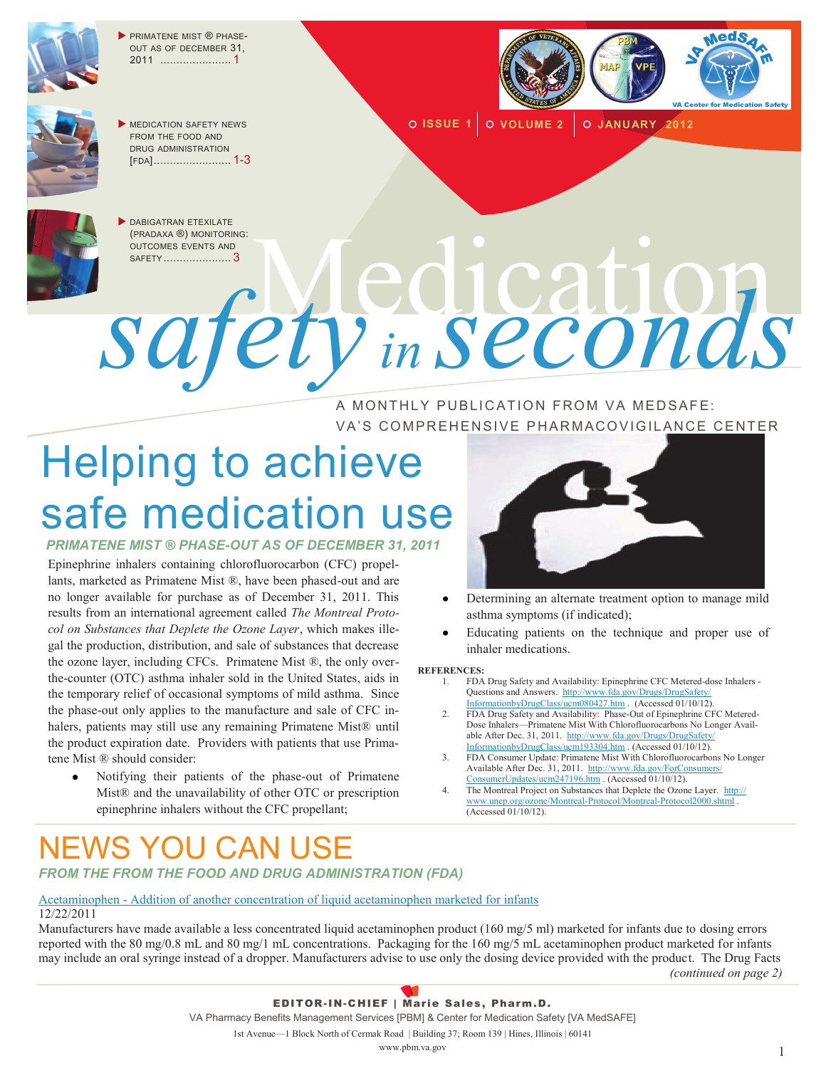

**PRIMATENE MIST ® PHASE-**OUT AS OF DECEMBER 31, 2011 ...................... 1



 MEDICATION SAFETY NEWS FROM THE FOOD AND DRUG ADMINISTRATION [FDA]........................ 1-3



**ISSUE 1 VOLUME 2 JANUARY 2012**



**DABIGATRAN ETEXILATE** OUTCOMES EVENTS AND

# (PRADAXA ®) MONITORING: CRADAXA ®) MONTORING:<br>OUTCOMES EVENTS AND *safety in seconds*

#### A MONTHLY PUBLICATION FROM VA MEDSAFE: VA'S COMPREHENSIVE PHARMACOVIGILANCE CENTER

# Helping to achieve safe medication use

*PRIMATENE MIST ® PHASE-OUT AS OF DECEMBER 31, 2011* 

Epinephrine inhalers containing chlorofluorocarbon (CFC) propellants, marketed as Primatene Mist ®, have been phased-out and are no longer available for purchase as of December 31, 2011. This results from an international agreement called *The Montreal Protocol on Substances that Deplete the Ozone Layer*, which makes illegal the production, distribution, and sale of substances that decrease the ozone layer, including CFCs. Primatene Mist ®, the only overthe-counter (OTC) asthma inhaler sold in the United States, aids in the temporary relief of occasional symptoms of mild asthma. Since the phase-out only applies to the manufacture and sale of CFC inhalers, patients may still use any remaining Primatene Mist® until the product expiration date. Providers with patients that use Primatene Mist ® should consider:

 $\bullet$ Notifying their patients of the phase-out of Primatene Mist® and the unavailability of other OTC or prescription epinephrine inhalers without the CFC propellant;



- Determining an alternate treatment option to manage mild asthma symptoms (if indicated);
- Educating patients on the technique and proper use of inhaler medications.

#### **REFERENCES:**

- 1. FDA Drug Safety and Availability: Epinephrine CFC Metered-dose Inhalers Questions and Answers. [http://www.fda.gov/Drugs/DrugSafety/](http://www.fda.gov/Drugs/DrugSafety/InformationbyDrugClass/ucm080427.htm) [InformationbyDrugClass/ucm080427.htm](http://www.fda.gov/Drugs/DrugSafety/InformationbyDrugClass/ucm080427.htm) . (Accessed 01/10/12).
- 2. FDA Drug Safety and Availability: Phase-Out of Epinephrine CFC Metered-Dose Inhalers—Primatene Mist With Chlorofluorocarbons No Longer Available After Dec. 31, 2011. [http://www.fda.gov/Drugs/DrugSafety/](http://www.fda.gov/Drugs/DrugSafety/InformationbyDrugClass/ucm193304.htm) [InformationbyDrugClass/ucm193304.htm](http://www.fda.gov/Drugs/DrugSafety/InformationbyDrugClass/ucm193304.htm) . (Accessed 01/10/12).
- 3. FDA Consumer Update: Primatene Mist With Chlorofluorocarbons No Longer Available After Dec. 31, 2011. [http://www.fda.gov/ForConsumers/](http://www.fda.gov/ForConsumers/ConsumerUpdates/ucm247196.htm) [ConsumerUpdates/ucm247196.htm](http://www.fda.gov/ForConsumers/ConsumerUpdates/ucm247196.htm) . (Accessed 01/10/12).
- 4. The Montreal Project on Substances that Deplete the Ozone Layer. [http://](http://www.unep.org/ozone/Montreal-Protocol/Montreal-Protocol2000.shtml) [www.unep.org/ozone/Montreal-Protocol/Montreal-Protocol2000.shtml](http://www.unep.org/ozone/Montreal-Protocol/Montreal-Protocol2000.shtml) . (Accessed 01/10/12).

### NEWS YOU CAN USE *FROM THE FROM THE FOOD AND DRUG ADMINISTRATION (FDA)*

Acetaminophen - [Addition of another concentration of liquid acetaminophen marketed for infants](http://www.fda.gov/Drugs/DrugSafety/ucm284741.htm)

#### 12/22/2011

Manufacturers have made available a less concentrated liquid acetaminophen product (160 mg/5 ml) marketed for infants due to dosing errors reported with the 80 mg/0.8 mL and 80 mg/1 mL concentrations. Packaging for the 160 mg/5 mL acetaminophen product marketed for infants may include an oral syringe instead of a dropper. Manufacturers advise to use only the dosing device provided with the product. The Drug Facts *(continued on page 2)*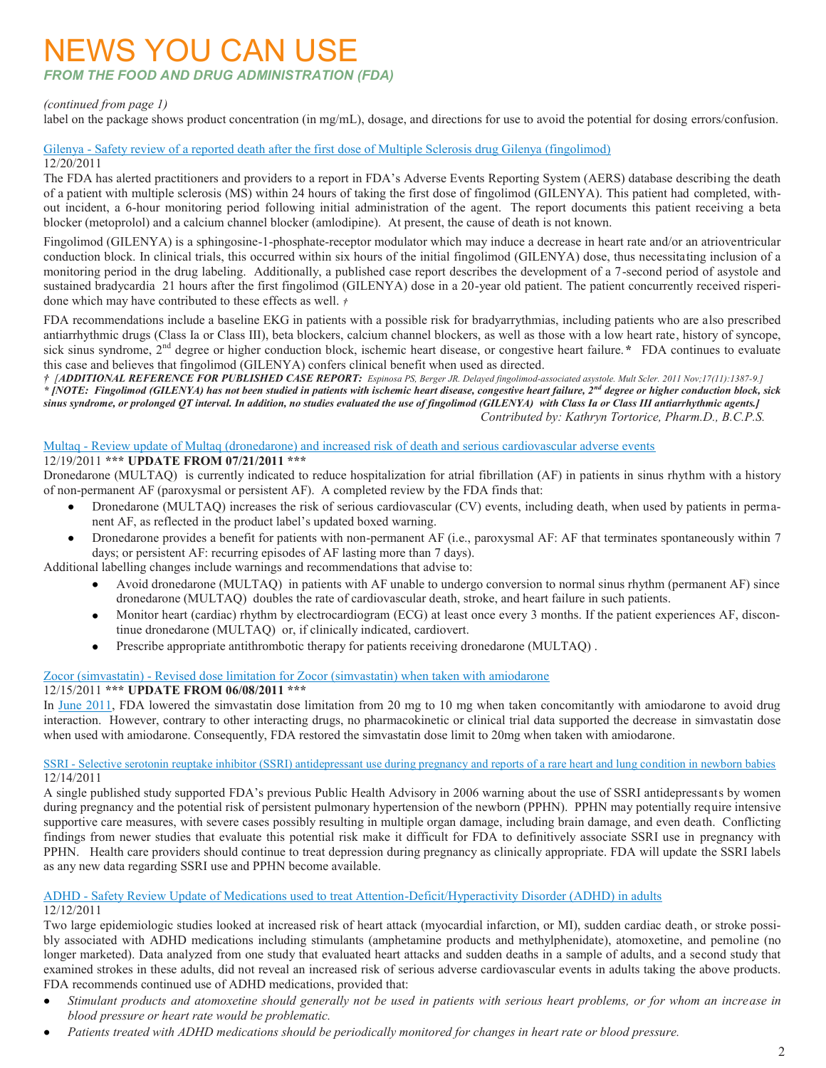### NEWS YOU CAN USE *FROM THE FOOD AND DRUG ADMINISTRATION (FDA)*

#### *(continued from page 1)*

label on the package shows product concentration (in mg/mL), dosage, and directions for use to avoid the potential for dosing errors/confusion.

#### Gilenya - [Safety review of a reported death after the first dose of Multiple Sclerosis drug Gilenya \(fingolimod\)](http://www.fda.gov/Drugs/DrugSafety/ucm284240.htm)

#### 12/20/2011

The FDA has alerted practitioners and providers to a report in FDA's Adverse Events Reporting System (AERS) database describing the death of a patient with multiple sclerosis (MS) within 24 hours of taking the first dose of fingolimod (GILENYA). This patient had completed, without incident, a 6-hour monitoring period following initial administration of the agent. The report documents this patient receiving a beta blocker (metoprolol) and a calcium channel blocker (amlodipine). At present, the cause of death is not known.

Fingolimod (GILENYA) is a sphingosine-1-phosphate-receptor modulator which may induce a decrease in heart rate and/or an atrioventricular conduction block. In clinical trials, this occurred within six hours of the initial fingolimod (GILENYA) dose, thus necessitating inclusion of a monitoring period in the drug labeling. Additionally, a published case report describes the development of a 7-second period of asystole and sustained bradycardia 21 hours after the first fingolimod (GILENYA) dose in a 20-year old patient. The patient concurrently received risperidone which may have contributed to these effects as well. *†*

FDA recommendations include a baseline EKG in patients with a possible risk for bradyarrythmias, including patients who are also prescribed antiarrhythmic drugs (Class Ia or Class III), beta blockers, calcium channel blockers, as well as those with a low heart rate, history of syncope, sick sinus syndrome, 2<sup>nd</sup> degree or higher conduction block, ischemic heart disease, or congestive heart failure.\* **FDA** continues to evaluate this case and believes that fingolimod (GILENYA) confers clinical benefit when used as directed.

*†**[ADDITIONAL REFERENCE FOR PUBLISHED CASE REPORT: Espinosa PS, Berger JR. Delayed fingolimod-associated asystole. Mult Scler. 2011 Nov;17(11):1387-9.] \* [NOTE: Fingolimod (GILENYA) has not been studied in patients with ischemic heart disease, congestive heart failure, 2nd degree or higher conduction block, sick sinus syndrome, or prolonged QT interval. In addition, no studies evaluated the use of fingolimod (GILENYA) with Class Ia or Class III antiarrhythmic agents.] Contributed by: Kathryn Tortorice, Pharm.D., B.C.P.S.*

#### Multaq - [Review update of Multaq \(dronedarone\) and increased risk of death and serious cardiovascular adverse events](http://www.fda.gov/Drugs/DrugSafety/ucm283933.htm)

#### 12/19/2011 **\*\*\* UPDATE FROM 07/21/2011 \*\*\***

Dronedarone (MULTAQ) is currently indicated to reduce hospitalization for atrial fibrillation (AF) in patients in sinus rhythm with a history of non-permanent AF (paroxysmal or persistent AF). A completed review by the FDA finds that:

- Dronedarone (MULTAQ) increases the risk of serious cardiovascular (CV) events, including death, when used by patients in permanent AF, as reflected in the product label's updated boxed warning.
- Dronedarone provides a benefit for patients with non-permanent AF (i.e., paroxysmal AF: AF that terminates spontaneously within 7 days; or persistent AF: recurring episodes of AF lasting more than 7 days).

Additional labelling changes include warnings and recommendations that advise to:

- Avoid dronedarone (MULTAQ) in patients with AF unable to undergo conversion to normal sinus rhythm (permanent AF) since dronedarone (MULTAQ) doubles the rate of cardiovascular death, stroke, and heart failure in such patients.
- Monitor heart (cardiac) rhythm by electrocardiogram (ECG) at least once every 3 months. If the patient experiences AF, discon- $\bullet$ tinue dronedarone (MULTAQ) or, if clinically indicated, cardiovert.
- Prescribe appropriate antithrombotic therapy for patients receiving dronedarone (MULTAQ) .  $\bullet$

#### Zocor (simvastatin) - [Revised dose limitation for Zocor \(simvastatin\) when taken with amiodarone](http://www.fda.gov/Drugs/DrugSafety/ucm283137.htm)

#### 12/15/2011 **\*\*\* UPDATE FROM 06/08/2011 \*\*\***

In [June 2011,](http://www.fda.gov/Drugs/DrugSafety/ucm256581.htm) FDA lowered the simvastatin dose limitation from 20 mg to 10 mg when taken concomitantly with amiodarone to avoid drug interaction. However, contrary to other interacting drugs, no pharmacokinetic or clinical trial data supported the decrease in simvastatin dose when used with amiodarone. Consequently, FDA restored the simvastatin dose limit to 20mg when taken with amiodarone.

SSRI - [Selective serotonin reuptake inhibitor \(SSRI\) antidepressant use during pregnancy and reports of a rare heart and lung condition in newborn babies](http://www.fda.gov/Drugs/DrugSafety/ucm283375.htm) 12/14/2011

A single published study supported FDA's previous Public Health Advisory in 2006 warning about the use of SSRI antidepressants by women during pregnancy and the potential risk of persistent pulmonary hypertension of the newborn (PPHN). PPHN may potentially require intensive supportive care measures, with severe cases possibly resulting in multiple organ damage, including brain damage, and even death. Conflicting findings from newer studies that evaluate this potential risk make it difficult for FDA to definitively associate SSRI use in pregnancy with PPHN. Health care providers should continue to treat depression during pregnancy as clinically appropriate. FDA will update the SSRI labels as any new data regarding SSRI use and PPHN become available.

#### ADHD - [Safety Review Update of Medications used to treat Attention-Deficit/Hyperactivity Disorder \(ADHD\) in adults](http://www.fda.gov/Drugs/DrugSafety/ucm279858.htm) 12/12/2011

Two large epidemiologic studies looked at increased risk of heart attack (myocardial infarction, or MI), sudden cardiac death, or stroke possibly associated with ADHD medications including stimulants (amphetamine products and methylphenidate), atomoxetine, and pemoline (no longer marketed). Data analyzed from one study that evaluated heart attacks and sudden deaths in a sample of adults, and a second study that examined strokes in these adults, did not reveal an increased risk of serious adverse cardiovascular events in adults taking the above products. FDA recommends continued use of ADHD medications, provided that:

- *Stimulant products and atomoxetine should generally not be used in patients with serious heart problems, or for whom an increase in blood pressure or heart rate would be problematic.*
- *Patients treated with ADHD medications should be periodically monitored for changes in heart rate or blood pressure.*